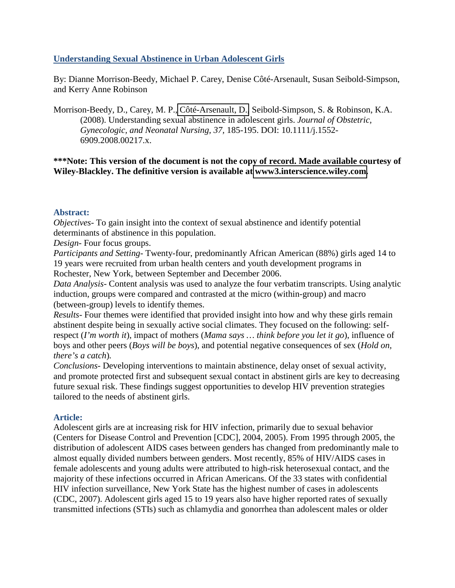# **Understanding Sexual Abstinence in Urban Adolescent Girls**

By: Dianne Morrison-Beedy, Michael P. Carey, Denise Côté-Arsenault, Susan Seibold-Simpson, and Kerry Anne Robinson

Morrison-Beedy, D., Carey, M. P., [Côté-Arsenault, D.,](http://libres.uncg.edu/ir/clist.aspx?id=4351) Seibold-Simpson, S. & Robinson, K.A. (2008). Understanding sexual abstinence in adolescent girls. *Journal of Obstetric, Gynecologic, and Neonatal Nursing, 37,* 185-195. DOI: 10.1111/j.1552- 6909.2008.00217.x.

# **\*\*\*Note: This version of the document is not the copy of record. Made available courtesy of Wiley-Blackley. The definitive version is available at [www3.interscience.wiley.com.](www3.interscience.wiley.com)**

### **Abstract:**

*Objectives-* To gain insight into the context of sexual abstinence and identify potential determinants of abstinence in this population.

*Design-* Four focus groups.

*Participants and Setting-* Twenty-four, predominantly African American (88%) girls aged 14 to 19 years were recruited from urban health centers and youth development programs in Rochester, New York, between September and December 2006.

*Data Analysis-* Content analysis was used to analyze the four verbatim transcripts. Using analytic induction, groups were compared and contrasted at the micro (within-group) and macro (between-group) levels to identify themes.

*Results-* Four themes were identified that provided insight into how and why these girls remain abstinent despite being in sexually active social climates. They focused on the following: selfrespect (*I'm worth it*), impact of mothers (*Mama says … think before you let it go*), influence of boys and other peers (*Boys will be boys*), and potential negative consequences of sex (*Hold on, there's a catch*)*.*

*Conclusions-* Developing interventions to maintain abstinence, delay onset of sexual activity, and promote protected first and subsequent sexual contact in abstinent girls are key to decreasing future sexual risk. These findings suggest opportunities to develop HIV prevention strategies tailored to the needs of abstinent girls.

### **Article:**

Adolescent girls are at increasing risk for HIV infection, primarily due to sexual behavior (Centers for Disease Control and Prevention [CDC], 2004, 2005). From 1995 through 2005, the distribution of adolescent AIDS cases between genders has changed from predominantly male to almost equally divided numbers between genders. Most recently, 85% of HIV/AIDS cases in female adolescents and young adults were attributed to high-risk heterosexual contact, and the majority of these infections occurred in African Americans. Of the 33 states with confidential HIV infection surveillance, New York State has the highest number of cases in adolescents (CDC, 2007). Adolescent girls aged 15 to 19 years also have higher reported rates of sexually transmitted infections (STIs) such as chlamydia and gonorrhea than adolescent males or older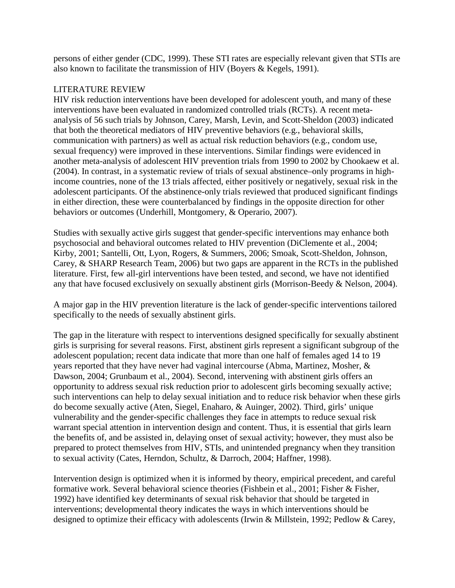persons of either gender (CDC, 1999). These STI rates are especially relevant given that STIs are also known to facilitate the transmission of HIV (Boyers & Kegels, 1991).

# LITERATURE REVIEW

HIV risk reduction interventions have been developed for adolescent youth, and many of these interventions have been evaluated in randomized controlled trials (RCTs). A recent metaanalysis of 56 such trials by Johnson, Carey, Marsh, Levin, and Scott-Sheldon (2003) indicated that both the theoretical mediators of HIV preventive behaviors (e.g., behavioral skills, communication with partners) as well as actual risk reduction behaviors (e.g., condom use, sexual frequency) were improved in these interventions. Similar findings were evidenced in another meta-analysis of adolescent HIV prevention trials from 1990 to 2002 by Chookaew et al. (2004). In contrast, in a systematic review of trials of sexual abstinence–only programs in highincome countries, none of the 13 trials affected, either positively or negatively, sexual risk in the adolescent participants. Of the abstinence-only trials reviewed that produced significant findings in either direction, these were counterbalanced by findings in the opposite direction for other behaviors or outcomes (Underhill, Montgomery, & Operario, 2007).

Studies with sexually active girls suggest that gender-specific interventions may enhance both psychosocial and behavioral outcomes related to HIV prevention (DiClemente et al., 2004; Kirby, 2001; Santelli, Ott, Lyon, Rogers, & Summers, 2006; Smoak, Scott-Sheldon, Johnson, Carey, & SHARP Research Team, 2006) but two gaps are apparent in the RCTs in the published literature. First, few all-girl interventions have been tested, and second, we have not identified any that have focused exclusively on sexually abstinent girls (Morrison-Beedy & Nelson, 2004).

A major gap in the HIV prevention literature is the lack of gender-specific interventions tailored specifically to the needs of sexually abstinent girls.

The gap in the literature with respect to interventions designed specifically for sexually abstinent girls is surprising for several reasons. First, abstinent girls represent a significant subgroup of the adolescent population; recent data indicate that more than one half of females aged 14 to 19 years reported that they have never had vaginal intercourse (Abma, Martinez, Mosher, & Dawson, 2004; Grunbaum et al., 2004). Second, intervening with abstinent girls offers an opportunity to address sexual risk reduction prior to adolescent girls becoming sexually active; such interventions can help to delay sexual initiation and to reduce risk behavior when these girls do become sexually active (Aten, Siegel, Enaharo, & Auinger, 2002). Third, girls' unique vulnerability and the gender-specific challenges they face in attempts to reduce sexual risk warrant special attention in intervention design and content. Thus, it is essential that girls learn the benefits of, and be assisted in, delaying onset of sexual activity; however, they must also be prepared to protect themselves from HIV, STIs, and unintended pregnancy when they transition to sexual activity (Cates, Herndon, Schultz, & Darroch, 2004; Haffner, 1998).

Intervention design is optimized when it is informed by theory, empirical precedent, and careful formative work. Several behavioral science theories (Fishbein et al., 2001; Fisher & Fisher, 1992) have identified key determinants of sexual risk behavior that should be targeted in interventions; developmental theory indicates the ways in which interventions should be designed to optimize their efficacy with adolescents (Irwin & Millstein, 1992; Pedlow & Carey,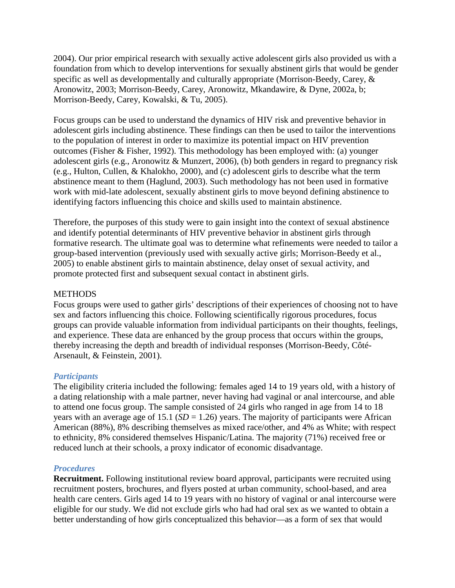2004). Our prior empirical research with sexually active adolescent girls also provided us with a foundation from which to develop interventions for sexually abstinent girls that would be gender specific as well as developmentally and culturally appropriate (Morrison-Beedy, Carey, & Aronowitz, 2003; Morrison-Beedy, Carey, Aronowitz, Mkandawire, & Dyne, 2002a, b; Morrison-Beedy, Carey, Kowalski, & Tu, 2005).

Focus groups can be used to understand the dynamics of HIV risk and preventive behavior in adolescent girls including abstinence. These findings can then be used to tailor the interventions to the population of interest in order to maximize its potential impact on HIV prevention outcomes (Fisher & Fisher, 1992). This methodology has been employed with: (a) younger adolescent girls (e.g., Aronowitz & Munzert, 2006), (b) both genders in regard to pregnancy risk (e.g., Hulton, Cullen, & Khalokho, 2000), and (c) adolescent girls to describe what the term abstinence meant to them (Haglund, 2003). Such methodology has not been used in formative work with mid-late adolescent, sexually abstinent girls to move beyond defining abstinence to identifying factors influencing this choice and skills used to maintain abstinence.

Therefore, the purposes of this study were to gain insight into the context of sexual abstinence and identify potential determinants of HIV preventive behavior in abstinent girls through formative research. The ultimate goal was to determine what refinements were needed to tailor a group-based intervention (previously used with sexually active girls; Morrison-Beedy et al., 2005) to enable abstinent girls to maintain abstinence, delay onset of sexual activity, and promote protected first and subsequent sexual contact in abstinent girls.

### **METHODS**

Focus groups were used to gather girls' descriptions of their experiences of choosing not to have sex and factors influencing this choice. Following scientifically rigorous procedures, focus groups can provide valuable information from individual participants on their thoughts, feelings, and experience. These data are enhanced by the group process that occurs within the groups, thereby increasing the depth and breadth of individual responses (Morrison-Beedy, Côté-Arsenault, & Feinstein, 2001).

### *Participants*

The eligibility criteria included the following: females aged 14 to 19 years old, with a history of a dating relationship with a male partner, never having had vaginal or anal intercourse, and able to attend one focus group. The sample consisted of 24 girls who ranged in age from 14 to 18 years with an average age of 15.1 ( $SD = 1.26$ ) years. The majority of participants were African American (88%), 8% describing themselves as mixed race/other, and 4% as White; with respect to ethnicity, 8% considered themselves Hispanic/Latina. The majority (71%) received free or reduced lunch at their schools, a proxy indicator of economic disadvantage.

### *Procedures*

**Recruitment.** Following institutional review board approval, participants were recruited using recruitment posters, brochures, and flyers posted at urban community, school-based, and area health care centers. Girls aged 14 to 19 years with no history of vaginal or anal intercourse were eligible for our study. We did not exclude girls who had had oral sex as we wanted to obtain a better understanding of how girls conceptualized this behavior—as a form of sex that would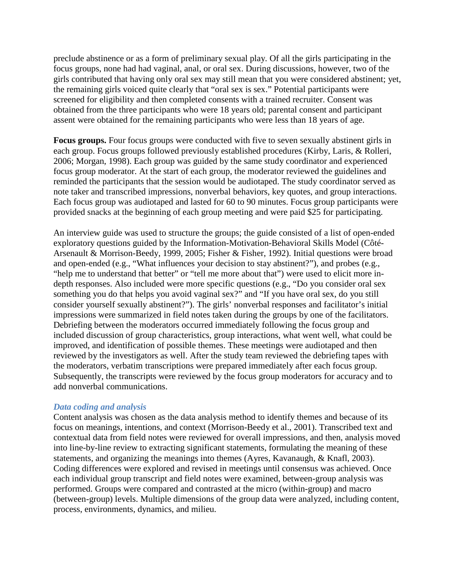preclude abstinence or as a form of preliminary sexual play. Of all the girls participating in the focus groups, none had had vaginal, anal, or oral sex. During discussions, however, two of the girls contributed that having only oral sex may still mean that you were considered abstinent; yet, the remaining girls voiced quite clearly that "oral sex is sex." Potential participants were screened for eligibility and then completed consents with a trained recruiter. Consent was obtained from the three participants who were 18 years old; parental consent and participant assent were obtained for the remaining participants who were less than 18 years of age.

**Focus groups.** Four focus groups were conducted with five to seven sexually abstinent girls in each group. Focus groups followed previously established procedures (Kirby, Laris, & Rolleri, 2006; Morgan, 1998). Each group was guided by the same study coordinator and experienced focus group moderator. At the start of each group, the moderator reviewed the guidelines and reminded the participants that the session would be audiotaped. The study coordinator served as note taker and transcribed impressions, nonverbal behaviors, key quotes, and group interactions. Each focus group was audiotaped and lasted for 60 to 90 minutes. Focus group participants were provided snacks at the beginning of each group meeting and were paid \$25 for participating.

An interview guide was used to structure the groups; the guide consisted of a list of open-ended exploratory questions guided by the Information-Motivation-Behavioral Skills Model (Côté-Arsenault & Morrison-Beedy, 1999, 2005; Fisher & Fisher, 1992). Initial questions were broad and open-ended (e.g., "What influences your decision to stay abstinent?"), and probes (e.g., "help me to understand that better" or "tell me more about that") were used to elicit more indepth responses. Also included were more specific questions (e.g., "Do you consider oral sex something you do that helps you avoid vaginal sex?" and "If you have oral sex, do you still consider yourself sexually abstinent?"). The girls' nonverbal responses and facilitator's initial impressions were summarized in field notes taken during the groups by one of the facilitators. Debriefing between the moderators occurred immediately following the focus group and included discussion of group characteristics, group interactions, what went well, what could be improved, and identification of possible themes. These meetings were audiotaped and then reviewed by the investigators as well. After the study team reviewed the debriefing tapes with the moderators, verbatim transcriptions were prepared immediately after each focus group. Subsequently, the transcripts were reviewed by the focus group moderators for accuracy and to add nonverbal communications.

### *Data coding and analysis*

Content analysis was chosen as the data analysis method to identify themes and because of its focus on meanings, intentions, and context (Morrison-Beedy et al., 2001). Transcribed text and contextual data from field notes were reviewed for overall impressions, and then, analysis moved into line-by-line review to extracting significant statements, formulating the meaning of these statements, and organizing the meanings into themes (Ayres, Kavanaugh, & Knafl, 2003). Coding differences were explored and revised in meetings until consensus was achieved. Once each individual group transcript and field notes were examined, between-group analysis was performed. Groups were compared and contrasted at the micro (within-group) and macro (between-group) levels. Multiple dimensions of the group data were analyzed, including content, process, environments, dynamics, and milieu.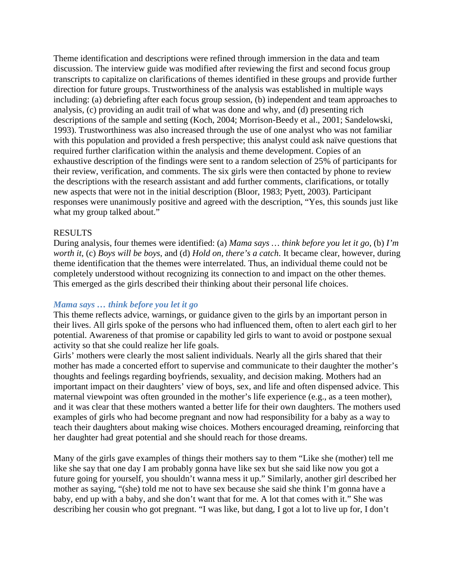Theme identification and descriptions were refined through immersion in the data and team discussion. The interview guide was modified after reviewing the first and second focus group transcripts to capitalize on clarifications of themes identified in these groups and provide further direction for future groups. Trustworthiness of the analysis was established in multiple ways including: (a) debriefing after each focus group session, (b) independent and team approaches to analysis, (c) providing an audit trail of what was done and why, and (d) presenting rich descriptions of the sample and setting (Koch, 2004; Morrison-Beedy et al., 2001; Sandelowski, 1993). Trustworthiness was also increased through the use of one analyst who was not familiar with this population and provided a fresh perspective; this analyst could ask naïve questions that required further clarification within the analysis and theme development. Copies of an exhaustive description of the findings were sent to a random selection of 25% of participants for their review, verification, and comments. The six girls were then contacted by phone to review the descriptions with the research assistant and add further comments, clarifications, or totally new aspects that were not in the initial description (Bloor, 1983; Pyett, 2003). Participant responses were unanimously positive and agreed with the description, "Yes, this sounds just like what my group talked about."

# RESULTS

During analysis, four themes were identified: (a) *Mama says … think before you let it go*, (b) *I'm worth it*, (c) *Boys will be boys*, and (d) *Hold on, there's a catch*. It became clear, however, during theme identification that the themes were interrelated. Thus, an individual theme could not be completely understood without recognizing its connection to and impact on the other themes. This emerged as the girls described their thinking about their personal life choices.

#### *Mama says … think before you let it go*

This theme reflects advice, warnings, or guidance given to the girls by an important person in their lives. All girls spoke of the persons who had influenced them, often to alert each girl to her potential. Awareness of that promise or capability led girls to want to avoid or postpone sexual activity so that she could realize her life goals.

Girls' mothers were clearly the most salient individuals. Nearly all the girls shared that their mother has made a concerted effort to supervise and communicate to their daughter the mother's thoughts and feelings regarding boyfriends, sexuality, and decision making. Mothers had an important impact on their daughters' view of boys, sex, and life and often dispensed advice. This maternal viewpoint was often grounded in the mother's life experience (e.g., as a teen mother), and it was clear that these mothers wanted a better life for their own daughters. The mothers used examples of girls who had become pregnant and now had responsibility for a baby as a way to teach their daughters about making wise choices. Mothers encouraged dreaming, reinforcing that her daughter had great potential and she should reach for those dreams.

Many of the girls gave examples of things their mothers say to them "Like she (mother) tell me like she say that one day I am probably gonna have like sex but she said like now you got a future going for yourself, you shouldn't wanna mess it up." Similarly, another girl described her mother as saying, "(she) told me not to have sex because she said she think I'm gonna have a baby, end up with a baby, and she don't want that for me. A lot that comes with it." She was describing her cousin who got pregnant. "I was like, but dang, I got a lot to live up for, I don't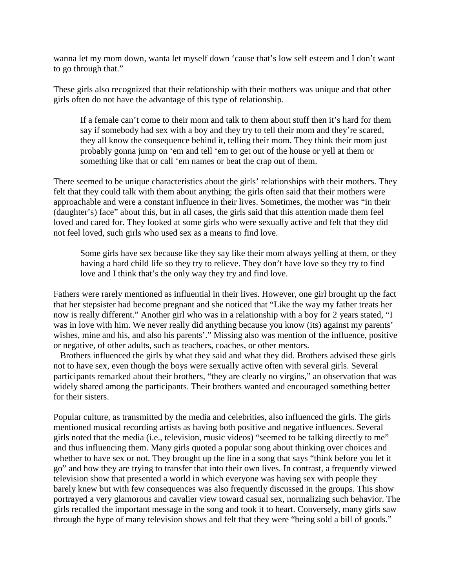wanna let my mom down, wanta let myself down 'cause that's low self esteem and I don't want to go through that."

These girls also recognized that their relationship with their mothers was unique and that other girls often do not have the advantage of this type of relationship.

If a female can't come to their mom and talk to them about stuff then it's hard for them say if somebody had sex with a boy and they try to tell their mom and they're scared, they all know the consequence behind it, telling their mom. They think their mom just probably gonna jump on 'em and tell 'em to get out of the house or yell at them or something like that or call 'em names or beat the crap out of them.

There seemed to be unique characteristics about the girls' relationships with their mothers. They felt that they could talk with them about anything; the girls often said that their mothers were approachable and were a constant influence in their lives. Sometimes, the mother was "in their (daughter's) face" about this, but in all cases, the girls said that this attention made them feel loved and cared for. They looked at some girls who were sexually active and felt that they did not feel loved, such girls who used sex as a means to find love.

Some girls have sex because like they say like their mom always yelling at them, or they having a hard child life so they try to relieve. They don't have love so they try to find love and I think that's the only way they try and find love.

Fathers were rarely mentioned as influential in their lives. However, one girl brought up the fact that her stepsister had become pregnant and she noticed that "Like the way my father treats her now is really different." Another girl who was in a relationship with a boy for 2 years stated, "I was in love with him. We never really did anything because you know (its) against my parents' wishes, mine and his, and also his parents'." Missing also was mention of the influence, positive or negative, of other adults, such as teachers, coaches, or other mentors.

Brothers influenced the girls by what they said and what they did. Brothers advised these girls not to have sex, even though the boys were sexually active often with several girls. Several participants remarked about their brothers, "they are clearly no virgins," an observation that was widely shared among the participants. Their brothers wanted and encouraged something better for their sisters.

Popular culture, as transmitted by the media and celebrities, also influenced the girls. The girls mentioned musical recording artists as having both positive and negative influences. Several girls noted that the media (i.e., television, music videos) "seemed to be talking directly to me" and thus influencing them. Many girls quoted a popular song about thinking over choices and whether to have sex or not. They brought up the line in a song that says "think before you let it go" and how they are trying to transfer that into their own lives. In contrast, a frequently viewed television show that presented a world in which everyone was having sex with people they barely knew but with few consequences was also frequently discussed in the groups. This show portrayed a very glamorous and cavalier view toward casual sex, normalizing such behavior. The girls recalled the important message in the song and took it to heart. Conversely, many girls saw through the hype of many television shows and felt that they were "being sold a bill of goods."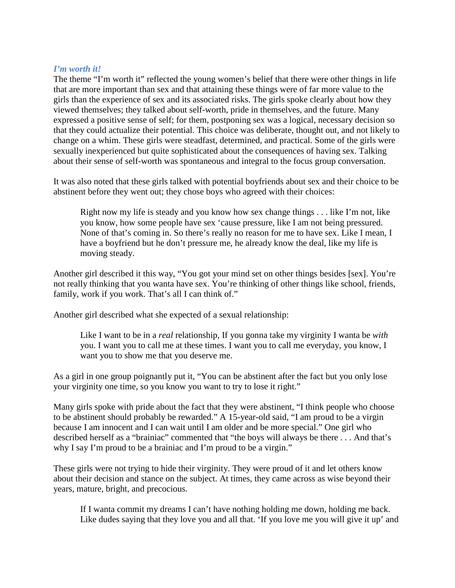#### *I'm worth it!*

The theme "I'm worth it" reflected the young women's belief that there were other things in life that are more important than sex and that attaining these things were of far more value to the girls than the experience of sex and its associated risks. The girls spoke clearly about how they viewed themselves; they talked about self-worth, pride in themselves, and the future. Many expressed a positive sense of self; for them, postponing sex was a logical, necessary decision so that they could actualize their potential. This choice was deliberate, thought out, and not likely to change on a whim. These girls were steadfast, determined, and practical. Some of the girls were sexually inexperienced but quite sophisticated about the consequences of having sex. Talking about their sense of self-worth was spontaneous and integral to the focus group conversation.

It was also noted that these girls talked with potential boyfriends about sex and their choice to be abstinent before they went out; they chose boys who agreed with their choices:

Right now my life is steady and you know how sex change things . . . like I'm not, like you know, how some people have sex 'cause pressure, like I am not being pressured. None of that's coming in. So there's really no reason for me to have sex. Like I mean, I have a boyfriend but he don't pressure me, he already know the deal, like my life is moving steady.

Another girl described it this way, "You got your mind set on other things besides [sex]. You're not really thinking that you wanta have sex. You're thinking of other things like school, friends, family, work if you work. That's all I can think of."

Another girl described what she expected of a sexual relationship:

Like I want to be in a *real* relationship, If you gonna take my virginity I wanta be *with* you. I want you to call me at these times. I want you to call me everyday, you know, I want you to show me that you deserve me.

As a girl in one group poignantly put it, "You can be abstinent after the fact but you only lose your virginity one time, so you know you want to try to lose it right."

Many girls spoke with pride about the fact that they were abstinent, "I think people who choose to be abstinent should probably be rewarded." A 15-year-old said, "I am proud to be a virgin because I am innocent and I can wait until I am older and be more special." One girl who described herself as a "brainiac" commented that "the boys will always be there . . . And that's why I say I'm proud to be a brainiac and I'm proud to be a virgin."

These girls were not trying to hide their virginity. They were proud of it and let others know about their decision and stance on the subject. At times, they came across as wise beyond their years, mature, bright, and precocious.

If I wanta commit my dreams I can't have nothing holding me down, holding me back. Like dudes saying that they love you and all that. 'If you love me you will give it up' and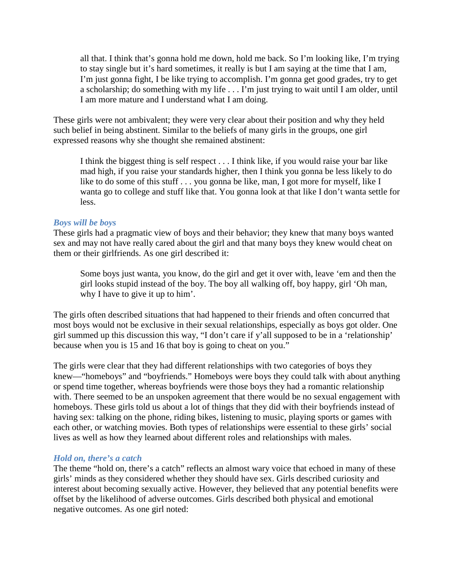all that. I think that's gonna hold me down, hold me back. So I'm looking like, I'm trying to stay single but it's hard sometimes, it really is but I am saying at the time that I am, I'm just gonna fight, I be like trying to accomplish. I'm gonna get good grades, try to get a scholarship; do something with my life . . . I'm just trying to wait until I am older, until I am more mature and I understand what I am doing.

These girls were not ambivalent; they were very clear about their position and why they held such belief in being abstinent. Similar to the beliefs of many girls in the groups, one girl expressed reasons why she thought she remained abstinent:

I think the biggest thing is self respect . . . I think like, if you would raise your bar like mad high, if you raise your standards higher, then I think you gonna be less likely to do like to do some of this stuff . . . you gonna be like, man, I got more for myself, like I wanta go to college and stuff like that. You gonna look at that like I don't wanta settle for less.

#### *Boys will be boys*

These girls had a pragmatic view of boys and their behavior; they knew that many boys wanted sex and may not have really cared about the girl and that many boys they knew would cheat on them or their girlfriends. As one girl described it:

Some boys just wanta, you know, do the girl and get it over with, leave 'em and then the girl looks stupid instead of the boy. The boy all walking off, boy happy, girl 'Oh man, why I have to give it up to him'.

The girls often described situations that had happened to their friends and often concurred that most boys would not be exclusive in their sexual relationships, especially as boys got older. One girl summed up this discussion this way, "I don't care if y'all supposed to be in a 'relationship' because when you is 15 and 16 that boy is going to cheat on you."

The girls were clear that they had different relationships with two categories of boys they knew—"homeboys" and "boyfriends." Homeboys were boys they could talk with about anything or spend time together, whereas boyfriends were those boys they had a romantic relationship with. There seemed to be an unspoken agreement that there would be no sexual engagement with homeboys. These girls told us about a lot of things that they did with their boyfriends instead of having sex: talking on the phone, riding bikes, listening to music, playing sports or games with each other, or watching movies. Both types of relationships were essential to these girls' social lives as well as how they learned about different roles and relationships with males.

### *Hold on, there's a catch*

The theme "hold on, there's a catch" reflects an almost wary voice that echoed in many of these girls' minds as they considered whether they should have sex. Girls described curiosity and interest about becoming sexually active. However, they believed that any potential benefits were offset by the likelihood of adverse outcomes. Girls described both physical and emotional negative outcomes. As one girl noted: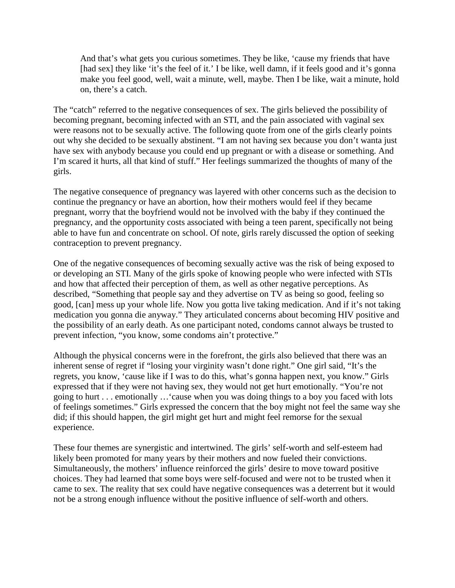And that's what gets you curious sometimes. They be like, 'cause my friends that have [had sex] they like 'it's the feel of it.' I be like, well damn, if it feels good and it's gonna make you feel good, well, wait a minute, well, maybe. Then I be like, wait a minute, hold on, there's a catch.

The "catch" referred to the negative consequences of sex. The girls believed the possibility of becoming pregnant, becoming infected with an STI, and the pain associated with vaginal sex were reasons not to be sexually active. The following quote from one of the girls clearly points out why she decided to be sexually abstinent. "I am not having sex because you don't wanta just have sex with anybody because you could end up pregnant or with a disease or something. And I'm scared it hurts, all that kind of stuff." Her feelings summarized the thoughts of many of the girls.

The negative consequence of pregnancy was layered with other concerns such as the decision to continue the pregnancy or have an abortion, how their mothers would feel if they became pregnant, worry that the boyfriend would not be involved with the baby if they continued the pregnancy, and the opportunity costs associated with being a teen parent, specifically not being able to have fun and concentrate on school. Of note, girls rarely discussed the option of seeking contraception to prevent pregnancy.

One of the negative consequences of becoming sexually active was the risk of being exposed to or developing an STI. Many of the girls spoke of knowing people who were infected with STIs and how that affected their perception of them, as well as other negative perceptions. As described, "Something that people say and they advertise on TV as being so good, feeling so good, [can] mess up your whole life. Now you gotta live taking medication. And if it's not taking medication you gonna die anyway." They articulated concerns about becoming HIV positive and the possibility of an early death. As one participant noted, condoms cannot always be trusted to prevent infection, "you know, some condoms ain't protective."

Although the physical concerns were in the forefront, the girls also believed that there was an inherent sense of regret if "losing your virginity wasn't done right." One girl said, "It's the regrets, you know, 'cause like if I was to do this, what's gonna happen next, you know." Girls expressed that if they were not having sex, they would not get hurt emotionally. "You're not going to hurt . . . emotionally …'cause when you was doing things to a boy you faced with lots of feelings sometimes." Girls expressed the concern that the boy might not feel the same way she did; if this should happen, the girl might get hurt and might feel remorse for the sexual experience.

These four themes are synergistic and intertwined. The girls' self-worth and self-esteem had likely been promoted for many years by their mothers and now fueled their convictions. Simultaneously, the mothers' influence reinforced the girls' desire to move toward positive choices. They had learned that some boys were self-focused and were not to be trusted when it came to sex. The reality that sex could have negative consequences was a deterrent but it would not be a strong enough influence without the positive influence of self-worth and others.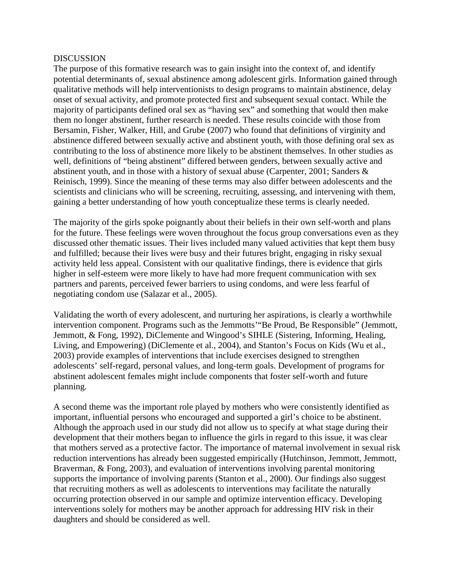#### **DISCUSSION**

The purpose of this formative research was to gain insight into the context of, and identify potential determinants of, sexual abstinence among adolescent girls. Information gained through qualitative methods will help interventionists to design programs to maintain abstinence, delay onset of sexual activity, and promote protected first and subsequent sexual contact. While the majority of participants defined oral sex as "having sex" and something that would then make them no longer abstinent, further research is needed. These results coincide with those from Bersamin, Fisher, Walker, Hill, and Grube (2007) who found that definitions of virginity and abstinence differed between sexually active and abstinent youth, with those defining oral sex as contributing to the loss of abstinence more likely to be abstinent themselves. In other studies as well, definitions of "being abstinent" differed between genders, between sexually active and abstinent youth, and in those with a history of sexual abuse (Carpenter, 2001; Sanders & Reinisch, 1999). Since the meaning of these terms may also differ between adolescents and the scientists and clinicians who will be screening, recruiting, assessing, and intervening with them, gaining a better understanding of how youth conceptualize these terms is clearly needed.

The majority of the girls spoke poignantly about their beliefs in their own self-worth and plans for the future. These feelings were woven throughout the focus group conversations even as they discussed other thematic issues. Their lives included many valued activities that kept them busy and fulfilled; because their lives were busy and their futures bright, engaging in risky sexual activity held less appeal. Consistent with our qualitative findings, there is evidence that girls higher in self-esteem were more likely to have had more frequent communication with sex partners and parents, perceived fewer barriers to using condoms, and were less fearful of negotiating condom use (Salazar et al., 2005).

Validating the worth of every adolescent, and nurturing her aspirations, is clearly a worthwhile intervention component. Programs such as the Jemmotts'"Be Proud, Be Responsible" (Jemmott, Jemmott, & Fong, 1992), DiClemente and Wingood's SIHLE (Sistering, Informing, Healing, Living, and Empowering) (DiClemente et al., 2004), and Stanton's Focus on Kids (Wu et al., 2003) provide examples of interventions that include exercises designed to strengthen adolescents' self-regard, personal values, and long-term goals. Development of programs for abstinent adolescent females might include components that foster self-worth and future planning.

A second theme was the important role played by mothers who were consistently identified as important, influential persons who encouraged and supported a girl's choice to be abstinent. Although the approach used in our study did not allow us to specify at what stage during their development that their mothers began to influence the girls in regard to this issue, it was clear that mothers served as a protective factor. The importance of maternal involvement in sexual risk reduction interventions has already been suggested empirically (Hutchinson, Jemmott, Jemmott, Braverman, & Fong, 2003), and evaluation of interventions involving parental monitoring supports the importance of involving parents (Stanton et al., 2000). Our findings also suggest that recruiting mothers as well as adolescents to interventions may facilitate the naturally occurring protection observed in our sample and optimize intervention efficacy. Developing interventions solely for mothers may be another approach for addressing HIV risk in their daughters and should be considered as well.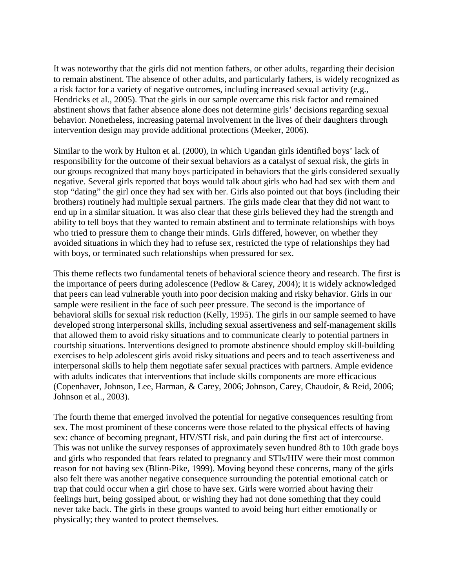It was noteworthy that the girls did not mention fathers, or other adults, regarding their decision to remain abstinent. The absence of other adults, and particularly fathers, is widely recognized as a risk factor for a variety of negative outcomes, including increased sexual activity (e.g., Hendricks et al., 2005). That the girls in our sample overcame this risk factor and remained abstinent shows that father absence alone does not determine girls' decisions regarding sexual behavior. Nonetheless, increasing paternal involvement in the lives of their daughters through intervention design may provide additional protections (Meeker, 2006).

Similar to the work by Hulton et al. (2000), in which Ugandan girls identified boys' lack of responsibility for the outcome of their sexual behaviors as a catalyst of sexual risk, the girls in our groups recognized that many boys participated in behaviors that the girls considered sexually negative. Several girls reported that boys would talk about girls who had had sex with them and stop "dating" the girl once they had sex with her. Girls also pointed out that boys (including their brothers) routinely had multiple sexual partners. The girls made clear that they did not want to end up in a similar situation. It was also clear that these girls believed they had the strength and ability to tell boys that they wanted to remain abstinent and to terminate relationships with boys who tried to pressure them to change their minds. Girls differed, however, on whether they avoided situations in which they had to refuse sex, restricted the type of relationships they had with boys, or terminated such relationships when pressured for sex.

This theme reflects two fundamental tenets of behavioral science theory and research. The first is the importance of peers during adolescence (Pedlow & Carey, 2004); it is widely acknowledged that peers can lead vulnerable youth into poor decision making and risky behavior. Girls in our sample were resilient in the face of such peer pressure. The second is the importance of behavioral skills for sexual risk reduction (Kelly, 1995). The girls in our sample seemed to have developed strong interpersonal skills, including sexual assertiveness and self-management skills that allowed them to avoid risky situations and to communicate clearly to potential partners in courtship situations. Interventions designed to promote abstinence should employ skill-building exercises to help adolescent girls avoid risky situations and peers and to teach assertiveness and interpersonal skills to help them negotiate safer sexual practices with partners. Ample evidence with adults indicates that interventions that include skills components are more efficacious (Copenhaver, Johnson, Lee, Harman, & Carey, 2006; Johnson, Carey, Chaudoir, & Reid, 2006; Johnson et al., 2003).

The fourth theme that emerged involved the potential for negative consequences resulting from sex. The most prominent of these concerns were those related to the physical effects of having sex: chance of becoming pregnant, HIV/STI risk, and pain during the first act of intercourse. This was not unlike the survey responses of approximately seven hundred 8th to 10th grade boys and girls who responded that fears related to pregnancy and STIs/HIV were their most common reason for not having sex (Blinn-Pike, 1999). Moving beyond these concerns, many of the girls also felt there was another negative consequence surrounding the potential emotional catch or trap that could occur when a girl chose to have sex. Girls were worried about having their feelings hurt, being gossiped about, or wishing they had not done something that they could never take back. The girls in these groups wanted to avoid being hurt either emotionally or physically; they wanted to protect themselves.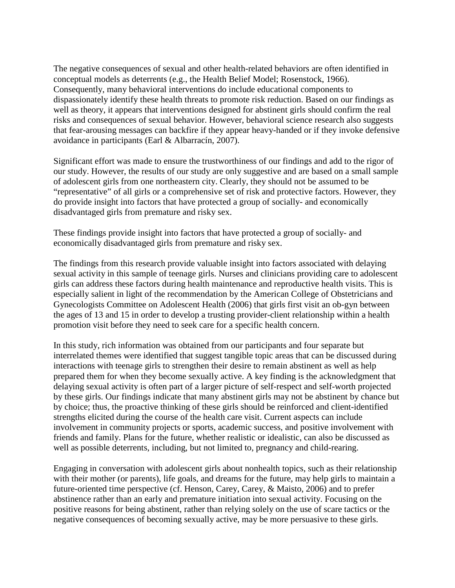The negative consequences of sexual and other health-related behaviors are often identified in conceptual models as deterrents (e.g., the Health Belief Model; Rosenstock, 1966). Consequently, many behavioral interventions do include educational components to dispassionately identify these health threats to promote risk reduction. Based on our findings as well as theory, it appears that interventions designed for abstinent girls should confirm the real risks and consequences of sexual behavior. However, behavioral science research also suggests that fear-arousing messages can backfire if they appear heavy-handed or if they invoke defensive avoidance in participants (Earl & Albarracín, 2007).

Significant effort was made to ensure the trustworthiness of our findings and add to the rigor of our study. However, the results of our study are only suggestive and are based on a small sample of adolescent girls from one northeastern city. Clearly, they should not be assumed to be "representative" of all girls or a comprehensive set of risk and protective factors. However, they do provide insight into factors that have protected a group of socially- and economically disadvantaged girls from premature and risky sex.

These findings provide insight into factors that have protected a group of socially- and economically disadvantaged girls from premature and risky sex.

The findings from this research provide valuable insight into factors associated with delaying sexual activity in this sample of teenage girls. Nurses and clinicians providing care to adolescent girls can address these factors during health maintenance and reproductive health visits. This is especially salient in light of the recommendation by the American College of Obstetricians and Gynecologists Committee on Adolescent Health (2006) that girls first visit an ob-gyn between the ages of 13 and 15 in order to develop a trusting provider-client relationship within a health promotion visit before they need to seek care for a specific health concern.

In this study, rich information was obtained from our participants and four separate but interrelated themes were identified that suggest tangible topic areas that can be discussed during interactions with teenage girls to strengthen their desire to remain abstinent as well as help prepared them for when they become sexually active. A key finding is the acknowledgment that delaying sexual activity is often part of a larger picture of self-respect and self-worth projected by these girls. Our findings indicate that many abstinent girls may not be abstinent by chance but by choice; thus, the proactive thinking of these girls should be reinforced and client-identified strengths elicited during the course of the health care visit. Current aspects can include involvement in community projects or sports, academic success, and positive involvement with friends and family. Plans for the future, whether realistic or idealistic, can also be discussed as well as possible deterrents, including, but not limited to, pregnancy and child-rearing.

Engaging in conversation with adolescent girls about nonhealth topics, such as their relationship with their mother (or parents), life goals, and dreams for the future, may help girls to maintain a future-oriented time perspective (cf. Henson, Carey, Carey, & Maisto, 2006) and to prefer abstinence rather than an early and premature initiation into sexual activity. Focusing on the positive reasons for being abstinent, rather than relying solely on the use of scare tactics or the negative consequences of becoming sexually active, may be more persuasive to these girls.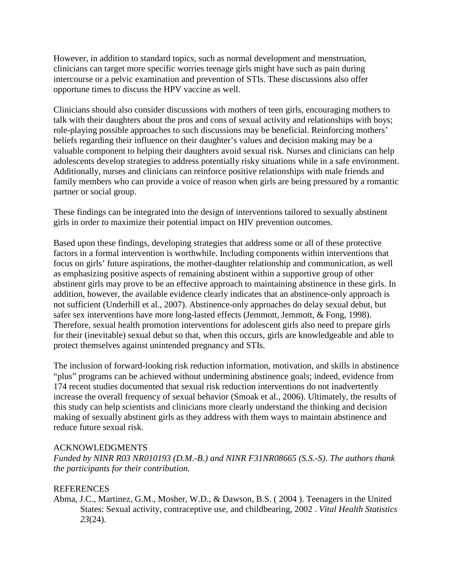However, in addition to standard topics, such as normal development and menstruation, clinicians can target more specific worries teenage girls might have such as pain during intercourse or a pelvic examination and prevention of STIs. These discussions also offer opportune times to discuss the HPV vaccine as well.

Clinicians should also consider discussions with mothers of teen girls, encouraging mothers to talk with their daughters about the pros and cons of sexual activity and relationships with boys; role-playing possible approaches to such discussions may be beneficial. Reinforcing mothers' beliefs regarding their influence on their daughter's values and decision making may be a valuable component to helping their daughters avoid sexual risk. Nurses and clinicians can help adolescents develop strategies to address potentially risky situations while in a safe environment. Additionally, nurses and clinicians can reinforce positive relationships with male friends and family members who can provide a voice of reason when girls are being pressured by a romantic partner or social group.

These findings can be integrated into the design of interventions tailored to sexually abstinent girls in order to maximize their potential impact on HIV prevention outcomes.

Based upon these findings, developing strategies that address some or all of these protective factors in a formal intervention is worthwhile. Including components within interventions that focus on girls' future aspirations, the mother-daughter relationship and communication, as well as emphasizing positive aspects of remaining abstinent within a supportive group of other abstinent girls may prove to be an effective approach to maintaining abstinence in these girls. In addition, however, the available evidence clearly indicates that an abstinence-only approach is not sufficient (Underhill et al., 2007). Abstinence-only approaches do delay sexual debut, but safer sex interventions have more long-lasted effects (Jemmott, Jemmott, & Fong, 1998). Therefore, sexual health promotion interventions for adolescent girls also need to prepare girls for their (inevitable) sexual debut so that, when this occurs, girls are knowledgeable and able to protect themselves against unintended pregnancy and STIs.

The inclusion of forward-looking risk reduction information, motivation, and skills in abstinence "plus" programs can be achieved without undermining abstinence goals; indeed, evidence from 174 recent studies documented that sexual risk reduction interventions do not inadvertently increase the overall frequency of sexual behavior (Smoak et al., 2006). Ultimately, the results of this study can help scientists and clinicians more clearly understand the thinking and decision making of sexually abstinent girls as they address with them ways to maintain abstinence and reduce future sexual risk.

### ACKNOWLEDGMENTS

*Funded by NINR R03 NR010193 (D.M.-B.) and NINR F31NR08665 (S.S.-S). The authors thank the participants for their contribution.*

### **REFERENCES**

Abma, J.C., Martinez, G.M., Mosher, W.D., & Dawson, B.S. ( 2004 ). Teenagers in the United States: Sexual activity, contraceptive use, and childbearing, 2002 . *Vital Health Statistics 23*(24).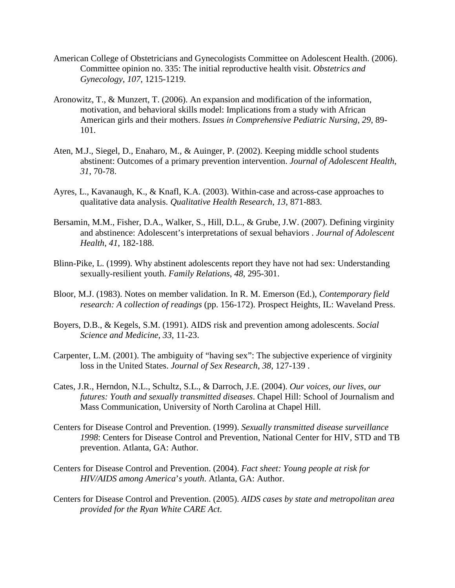- American College of Obstetricians and Gynecologists Committee on Adolescent Health. (2006). Committee opinion no. 335: The initial reproductive health visit. *Obstetrics and Gynecology*, *107*, 1215-1219.
- Aronowitz, T., & Munzert, T. (2006). An expansion and modification of the information, motivation, and behavioral skills model: Implications from a study with African American girls and their mothers. *Issues in Comprehensive Pediatric Nursing*, *29*, 89- 101.
- Aten, M.J., Siegel, D., Enaharo, M., & Auinger, P. (2002). Keeping middle school students abstinent: Outcomes of a primary prevention intervention. *Journal of Adolescent Health*, *31*, 70-78.
- Ayres, L., Kavanaugh, K., & Knafl, K.A. (2003). Within-case and across-case approaches to qualitative data analysis. *Qualitative Health Research*, *13*, 871-883.
- Bersamin, M.M., Fisher, D.A., Walker, S., Hill, D.L., & Grube, J.W. (2007). Defining virginity and abstinence: Adolescent's interpretations of sexual behaviors . *Journal of Adolescent Health*, *41*, 182-188.
- Blinn-Pike, L. (1999). Why abstinent adolescents report they have not had sex: Understanding sexually-resilient youth. *Family Relations*, *48*, 295-301.
- Bloor, M.J. (1983). Notes on member validation. In R. M. Emerson (Ed.), *Contemporary field research: A collection of readings* (pp. 156-172). Prospect Heights, IL: Waveland Press.
- Boyers, D.B., & Kegels, S.M. (1991). AIDS risk and prevention among adolescents. *Social Science and Medicine*, *33*, 11-23.
- Carpenter, L.M. (2001). The ambiguity of "having sex": The subjective experience of virginity loss in the United States. *Journal of Sex Research*, *38*, 127-139 .
- Cates, J.R., Herndon, N.L., Schultz, S.L., & Darroch, J.E. (2004). *Our voices, our lives, our futures: Youth and sexually transmitted diseases*. Chapel Hill: School of Journalism and Mass Communication, University of North Carolina at Chapel Hill.
- Centers for Disease Control and Prevention. (1999). *Sexually transmitted disease surveillance 1998*: Centers for Disease Control and Prevention, National Center for HIV, STD and TB prevention. Atlanta, GA: Author.
- Centers for Disease Control and Prevention. (2004). *Fact sheet: Young people at risk for HIV/AIDS among America*'*s youth*. Atlanta, GA: Author.
- Centers for Disease Control and Prevention. (2005). *AIDS cases by state and metropolitan area provided for the Ryan White CARE Act*.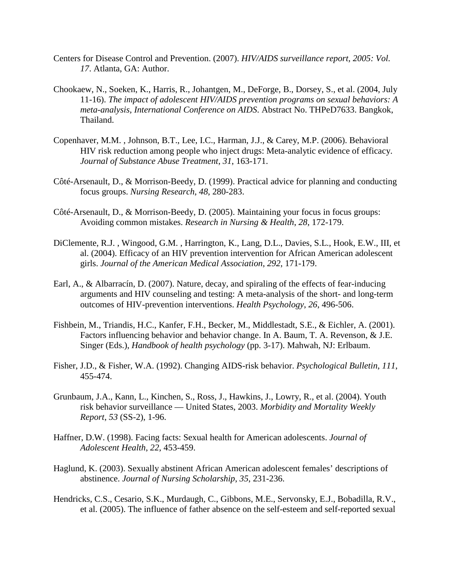- Centers for Disease Control and Prevention. (2007). *HIV/AIDS surveillance report, 2005: Vol. 17*. Atlanta, GA: Author.
- Chookaew, N., Soeken, K., Harris, R., Johantgen, M., DeForge, B., Dorsey, S., et al. (2004, July 11-16). *The impact of adolescent HIV/AIDS prevention programs on sexual behaviors: A meta-analysis, International Conference on AIDS*. Abstract No. THPeD7633. Bangkok, Thailand.
- Copenhaver, M.M. , Johnson, B.T., Lee, I.C., Harman, J.J., & Carey, M.P. (2006). Behavioral HIV risk reduction among people who inject drugs: Meta-analytic evidence of efficacy. *Journal of Substance Abuse Treatment*, *31*, 163-171.
- Côté-Arsenault, D., & Morrison-Beedy, D. (1999). Practical advice for planning and conducting focus groups. *Nursing Research*, *48*, 280-283.
- Côté-Arsenault, D., & Morrison-Beedy, D. (2005). Maintaining your focus in focus groups: Avoiding common mistakes. *Research in Nursing & Health*, *28*, 172-179.
- DiClemente, R.J. , Wingood, G.M. , Harrington, K., Lang, D.L., Davies, S.L., Hook, E.W., III, et al. (2004). Efficacy of an HIV prevention intervention for African American adolescent girls. *Journal of the American Medical Association*, *292*, 171-179.
- Earl, A., & Albarracín, D. (2007). Nature, decay, and spiraling of the effects of fear-inducing arguments and HIV counseling and testing: A meta-analysis of the short- and long-term outcomes of HIV-prevention interventions. *Health Psychology*, *26*, 496-506.
- Fishbein, M., Triandis, H.C., Kanfer, F.H., Becker, M., Middlestadt, S.E., & Eichler, A. (2001). Factors influencing behavior and behavior change. In A. Baum, T. A. Revenson, & J.E. Singer (Eds.), *Handbook of health psychology* (pp. 3-17). Mahwah, NJ: Erlbaum.
- Fisher, J.D., & Fisher, W.A. (1992). Changing AIDS-risk behavior. *Psychological Bulletin*, *111*, 455-474.
- Grunbaum, J.A., Kann, L., Kinchen, S., Ross, J., Hawkins, J., Lowry, R., et al. (2004). Youth risk behavior surveillance — United States, 2003. *Morbidity and Mortality Weekly Report*, *53* (SS-2), 1-96.
- Haffner, D.W. (1998). Facing facts: Sexual health for American adolescents. *Journal of Adolescent Health*, *22*, 453-459.
- Haglund, K. (2003). Sexually abstinent African American adolescent females' descriptions of abstinence. *Journal of Nursing Scholarship*, *35*, 231-236.
- Hendricks, C.S., Cesario, S.K., Murdaugh, C., Gibbons, M.E., Servonsky, E.J., Bobadilla, R.V., et al. (2005). The influence of father absence on the self-esteem and self-reported sexual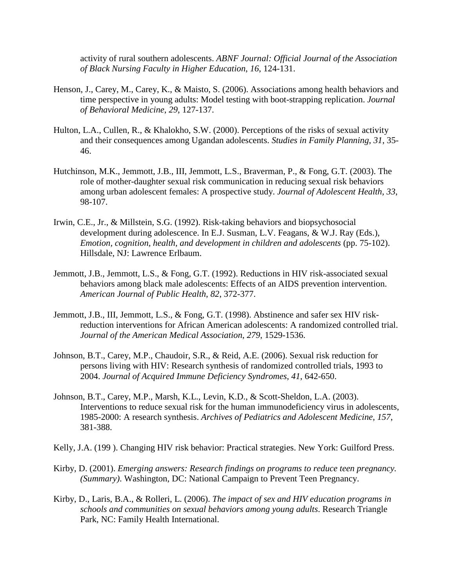activity of rural southern adolescents. *ABNF Journal: Official Journal of the Association of Black Nursing Faculty in Higher Education*, *16*, 124-131.

- Henson, J., Carey, M., Carey, K., & Maisto, S. (2006). Associations among health behaviors and time perspective in young adults: Model testing with boot-strapping replication. *Journal of Behavioral Medicine*, *29*, 127-137.
- Hulton, L.A., Cullen, R., & Khalokho, S.W. (2000). Perceptions of the risks of sexual activity and their consequences among Ugandan adolescents. *Studies in Family Planning*, *31*, 35- 46.
- Hutchinson, M.K., Jemmott, J.B., III, Jemmott, L.S., Braverman, P., & Fong, G.T. (2003). The role of mother-daughter sexual risk communication in reducing sexual risk behaviors among urban adolescent females: A prospective study. *Journal of Adolescent Health*, *33*, 98-107.
- Irwin, C.E., Jr., & Millstein, S.G. (1992). Risk-taking behaviors and biopsychosocial development during adolescence. In E.J. Susman, L.V. Feagans, & W.J. Ray (Eds.), *Emotion, cognition, health, and development in children and adolescents* (pp. 75-102). Hillsdale, NJ: Lawrence Erlbaum.
- Jemmott, J.B., Jemmott, L.S., & Fong, G.T. (1992). Reductions in HIV risk-associated sexual behaviors among black male adolescents: Effects of an AIDS prevention intervention. *American Journal of Public Health*, *82*, 372-377.
- Jemmott, J.B., III, Jemmott, L.S., & Fong, G.T. (1998). Abstinence and safer sex HIV riskreduction interventions for African American adolescents: A randomized controlled trial. *Journal of the American Medical Association*, *279*, 1529-1536.
- Johnson, B.T., Carey, M.P., Chaudoir, S.R., & Reid, A.E. (2006). Sexual risk reduction for persons living with HIV: Research synthesis of randomized controlled trials, 1993 to 2004. *Journal of Acquired Immune Deficiency Syndromes*, *41*, 642-650.
- Johnson, B.T., Carey, M.P., Marsh, K.L., Levin, K.D., & Scott-Sheldon, L.A. (2003). Interventions to reduce sexual risk for the human immunodeficiency virus in adolescents, 1985-2000: A research synthesis. *Archives of Pediatrics and Adolescent Medicine*, *157*, 381-388.
- Kelly, J.A. (199 ). Changing HIV risk behavior: Practical strategies. New York: Guilford Press.
- Kirby, D. (2001). *Emerging answers: Research findings on programs to reduce teen pregnancy. (Summary)*. Washington, DC: National Campaign to Prevent Teen Pregnancy.
- Kirby, D., Laris, B.A., & Rolleri, L. (2006). *The impact of sex and HIV education programs in schools and communities on sexual behaviors among young adults*. Research Triangle Park, NC: Family Health International.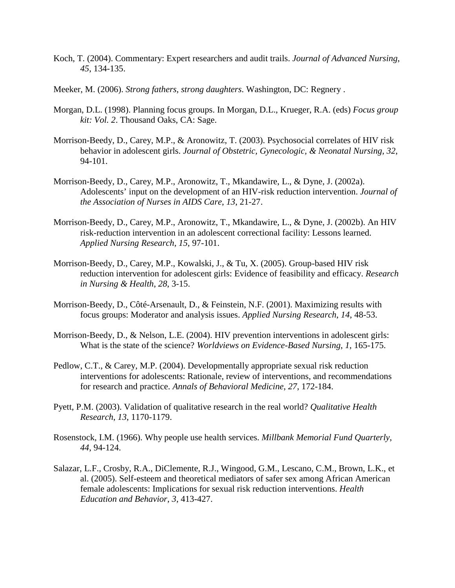- Koch, T. (2004). Commentary: Expert researchers and audit trails. *Journal of Advanced Nursing*, *45*, 134-135.
- Meeker, M. (2006). *Strong fathers, strong daughters*. Washington, DC: Regnery .
- Morgan, D.L. (1998). Planning focus groups. In Morgan, D.L., Krueger, R.A. (eds) *Focus group kit: Vol. 2*. Thousand Oaks, CA: Sage.
- Morrison-Beedy, D., Carey, M.P., & Aronowitz, T. (2003). Psychosocial correlates of HIV risk behavior in adolescent girls. *Journal of Obstetric, Gynecologic, & Neonatal Nursing*, *32*, 94-101.
- Morrison-Beedy, D., Carey, M.P., Aronowitz, T., Mkandawire, L., & Dyne, J. (2002a). Adolescents' input on the development of an HIV-risk reduction intervention. *Journal of the Association of Nurses in AIDS Care*, *13*, 21-27.
- Morrison-Beedy, D., Carey, M.P., Aronowitz, T., Mkandawire, L., & Dyne, J. (2002b). An HIV risk-reduction intervention in an adolescent correctional facility: Lessons learned. *Applied Nursing Research*, *15*, 97-101.
- Morrison-Beedy, D., Carey, M.P., Kowalski, J., & Tu, X. (2005). Group-based HIV risk reduction intervention for adolescent girls: Evidence of feasibility and efficacy. *Research in Nursing & Health*, *28*, 3-15.
- Morrison-Beedy, D., Côté-Arsenault, D., & Feinstein, N.F. (2001). Maximizing results with focus groups: Moderator and analysis issues. *Applied Nursing Research*, *14*, 48-53.
- Morrison-Beedy, D., & Nelson, L.E. (2004). HIV prevention interventions in adolescent girls: What is the state of the science? *Worldviews on Evidence-Based Nursing*, *1*, 165-175.
- Pedlow, C.T., & Carey, M.P. (2004). Developmentally appropriate sexual risk reduction interventions for adolescents: Rationale, review of interventions, and recommendations for research and practice. *Annals of Behavioral Medicine*, *27*, 172-184.
- Pyett, P.M. (2003). Validation of qualitative research in the real world? *Qualitative Health Research*, *13*, 1170-1179.
- Rosenstock, I.M. (1966). Why people use health services. *Millbank Memorial Fund Quarterly*, *44*, 94-124.
- Salazar, L.F., Crosby, R.A., DiClemente, R.J., Wingood, G.M., Lescano, C.M., Brown, L.K., et al. (2005). Self-esteem and theoretical mediators of safer sex among African American female adolescents: Implications for sexual risk reduction interventions. *Health Education and Behavior*, *3*, 413-427.